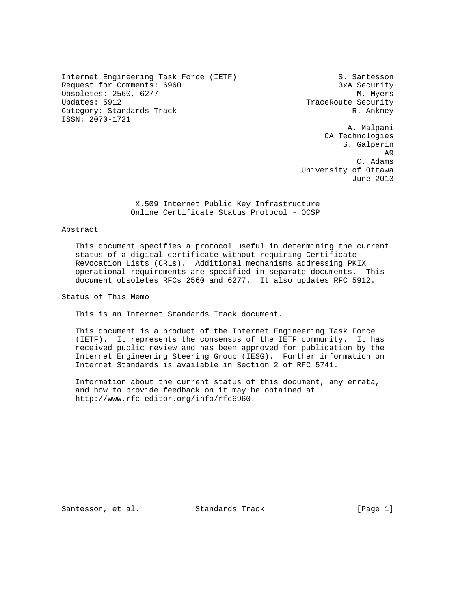Internet Engineering Task Force (IETF) S. Santesson Request for Comments: 6960 3xA Security Obsoletes: 2560, 6277 M. Myers Updates: 5912 TraceRoute Security Category: Standards Track R. Ankney ISSN: 2070-1721

 A. Malpani CA Technologies S. Galperin A9 C. Adams University of Ottawa June 2013

> X.509 Internet Public Key Infrastructure Online Certificate Status Protocol - OCSP

#### Abstract

 This document specifies a protocol useful in determining the current status of a digital certificate without requiring Certificate Revocation Lists (CRLs). Additional mechanisms addressing PKIX operational requirements are specified in separate documents. This document obsoletes RFCs 2560 and 6277. It also updates RFC 5912.

Status of This Memo

This is an Internet Standards Track document.

 This document is a product of the Internet Engineering Task Force (IETF). It represents the consensus of the IETF community. It has received public review and has been approved for publication by the Internet Engineering Steering Group (IESG). Further information on Internet Standards is available in Section 2 of RFC 5741.

 Information about the current status of this document, any errata, and how to provide feedback on it may be obtained at http://www.rfc-editor.org/info/rfc6960.

Santesson, et al. Standards Track [Page 1]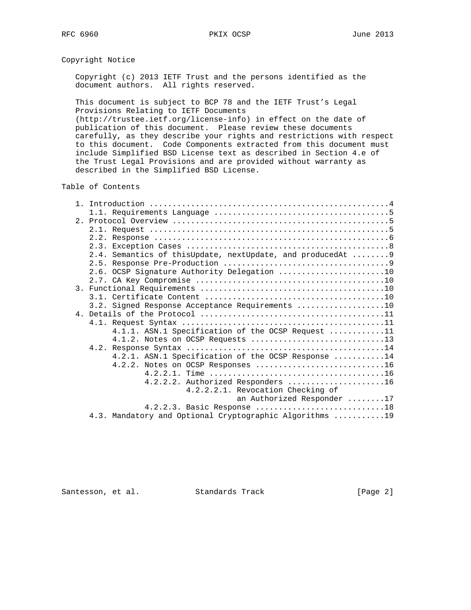# Copyright Notice

 Copyright (c) 2013 IETF Trust and the persons identified as the document authors. All rights reserved.

 This document is subject to BCP 78 and the IETF Trust's Legal Provisions Relating to IETF Documents

 (http://trustee.ietf.org/license-info) in effect on the date of publication of this document. Please review these documents carefully, as they describe your rights and restrictions with respect to this document. Code Components extracted from this document must include Simplified BSD License text as described in Section 4.e of the Trust Legal Provisions and are provided without warranty as described in the Simplified BSD License.

Table of Contents

| 2.4. Semantics of this Update, next Update, and produced At  9 |
|----------------------------------------------------------------|
|                                                                |
| 2.6. OCSP Signature Authority Delegation 10                    |
|                                                                |
|                                                                |
|                                                                |
|                                                                |
| 3.2. Signed Response Acceptance Requirements 10                |
|                                                                |
|                                                                |
| 4.1.1. ASN.1 Specification of the OCSP Request 11              |
| 4.1.2. Notes on OCSP Requests 13                               |
|                                                                |
| 4.2.1. ASN.1 Specification of the OCSP Response 14             |
| 4.2.2. Notes on OCSP Responses 16                              |
|                                                                |
| 4.2.2.2. Authorized Responders 16                              |
| 4.2.2.2.1. Revocation Checking of                              |
| an Authorized Responder 17                                     |
| 4.2.2.3. Basic Response 18                                     |
| 4.3. Mandatory and Optional Cryptographic Algorithms 19        |
|                                                                |

Santesson, et al. Standards Track [Page 2]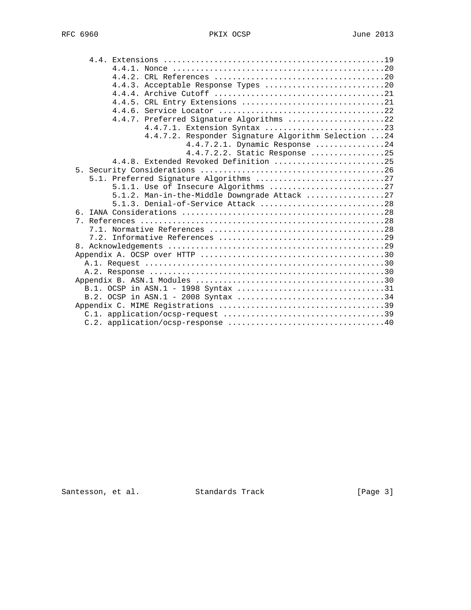|  | 4.4.3. Acceptable Response Types 20                 |
|--|-----------------------------------------------------|
|  |                                                     |
|  | 4.4.5. CRL Entry Extensions 21                      |
|  |                                                     |
|  | 4.4.7. Preferred Signature Algorithms 22            |
|  | 4.4.7.1. Extension Syntax 23                        |
|  | 4.4.7.2. Responder Signature Algorithm Selection 24 |
|  | 4.4.7.2.1. Dynamic Response 24                      |
|  | 4.4.7.2.2. Static Response 25                       |
|  | 4.4.8. Extended Revoked Definition 25               |
|  |                                                     |
|  |                                                     |
|  | 5.1.1. Use of Insecure Algorithms 27                |
|  | 5.1.2. Man-in-the-Middle Downgrade Attack 27        |
|  | 5.1.3. Denial-of-Service Attack 28                  |
|  |                                                     |
|  |                                                     |
|  |                                                     |
|  |                                                     |
|  |                                                     |
|  |                                                     |
|  |                                                     |
|  |                                                     |
|  |                                                     |
|  |                                                     |
|  |                                                     |
|  |                                                     |
|  |                                                     |
|  |                                                     |

Santesson, et al. Standards Track [Page 3]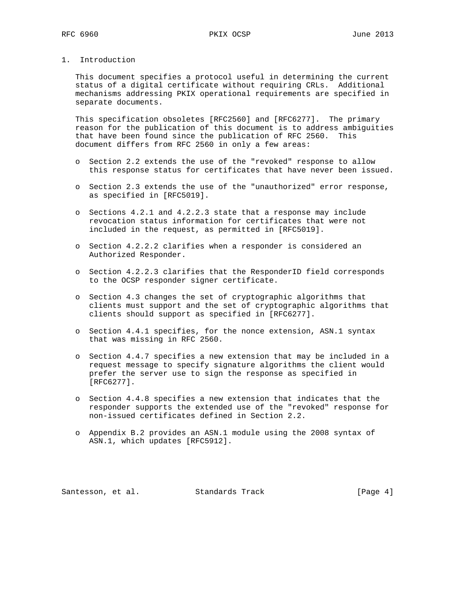1. Introduction

 This document specifies a protocol useful in determining the current status of a digital certificate without requiring CRLs. Additional mechanisms addressing PKIX operational requirements are specified in separate documents.

 This specification obsoletes [RFC2560] and [RFC6277]. The primary reason for the publication of this document is to address ambiguities that have been found since the publication of RFC 2560. This document differs from RFC 2560 in only a few areas:

- o Section 2.2 extends the use of the "revoked" response to allow this response status for certificates that have never been issued.
- o Section 2.3 extends the use of the "unauthorized" error response, as specified in [RFC5019].
- o Sections 4.2.1 and 4.2.2.3 state that a response may include revocation status information for certificates that were not included in the request, as permitted in [RFC5019].
- o Section 4.2.2.2 clarifies when a responder is considered an Authorized Responder.
- o Section 4.2.2.3 clarifies that the ResponderID field corresponds to the OCSP responder signer certificate.
- o Section 4.3 changes the set of cryptographic algorithms that clients must support and the set of cryptographic algorithms that clients should support as specified in [RFC6277].
- o Section 4.4.1 specifies, for the nonce extension, ASN.1 syntax that was missing in RFC 2560.
- o Section 4.4.7 specifies a new extension that may be included in a request message to specify signature algorithms the client would prefer the server use to sign the response as specified in [RFC6277].
- o Section 4.4.8 specifies a new extension that indicates that the responder supports the extended use of the "revoked" response for non-issued certificates defined in Section 2.2.
- o Appendix B.2 provides an ASN.1 module using the 2008 syntax of ASN.1, which updates [RFC5912].

Santesson, et al. Standards Track [Page 4]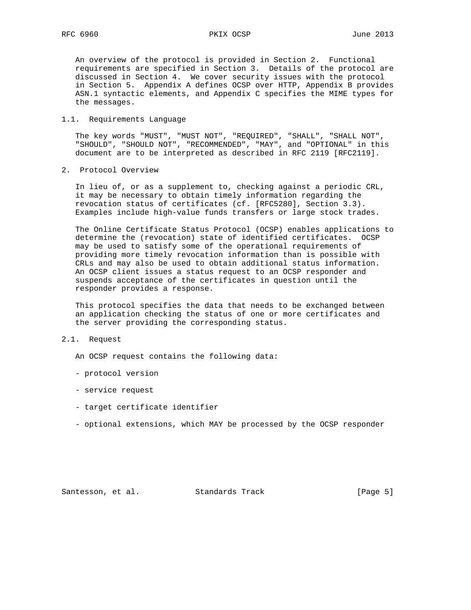An overview of the protocol is provided in Section 2. Functional requirements are specified in Section 3. Details of the protocol are discussed in Section 4. We cover security issues with the protocol in Section 5. Appendix A defines OCSP over HTTP, Appendix B provides ASN.1 syntactic elements, and Appendix C specifies the MIME types for the messages.

#### 1.1. Requirements Language

 The key words "MUST", "MUST NOT", "REQUIRED", "SHALL", "SHALL NOT", "SHOULD", "SHOULD NOT", "RECOMMENDED", "MAY", and "OPTIONAL" in this document are to be interpreted as described in RFC 2119 [RFC2119].

2. Protocol Overview

 In lieu of, or as a supplement to, checking against a periodic CRL, it may be necessary to obtain timely information regarding the revocation status of certificates (cf. [RFC5280], Section 3.3). Examples include high-value funds transfers or large stock trades.

 The Online Certificate Status Protocol (OCSP) enables applications to determine the (revocation) state of identified certificates. OCSP may be used to satisfy some of the operational requirements of providing more timely revocation information than is possible with CRLs and may also be used to obtain additional status information. An OCSP client issues a status request to an OCSP responder and suspends acceptance of the certificates in question until the responder provides a response.

 This protocol specifies the data that needs to be exchanged between an application checking the status of one or more certificates and the server providing the corresponding status.

## 2.1. Request

An OCSP request contains the following data:

- protocol version
- service request
- target certificate identifier
- optional extensions, which MAY be processed by the OCSP responder

Santesson, et al. Standards Track [Page 5]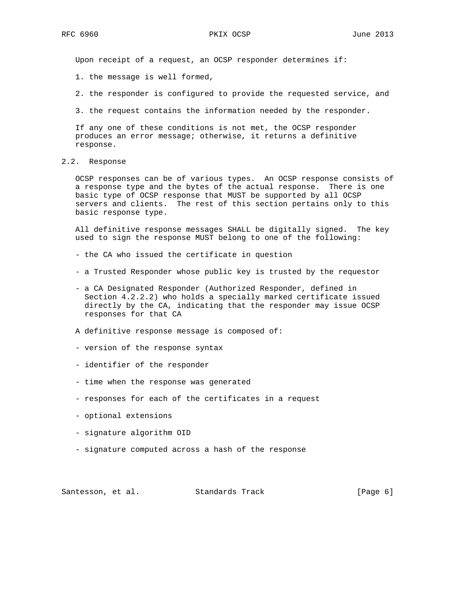Upon receipt of a request, an OCSP responder determines if:

- 1. the message is well formed,
- 2. the responder is configured to provide the requested service, and
- 3. the request contains the information needed by the responder.

 If any one of these conditions is not met, the OCSP responder produces an error message; otherwise, it returns a definitive response.

2.2. Response

 OCSP responses can be of various types. An OCSP response consists of a response type and the bytes of the actual response. There is one basic type of OCSP response that MUST be supported by all OCSP servers and clients. The rest of this section pertains only to this basic response type.

 All definitive response messages SHALL be digitally signed. The key used to sign the response MUST belong to one of the following:

- the CA who issued the certificate in question
- a Trusted Responder whose public key is trusted by the requestor
- a CA Designated Responder (Authorized Responder, defined in Section 4.2.2.2) who holds a specially marked certificate issued directly by the CA, indicating that the responder may issue OCSP responses for that CA
- A definitive response message is composed of:
- version of the response syntax
- identifier of the responder
- time when the response was generated
- responses for each of the certificates in a request
- optional extensions
- signature algorithm OID
- signature computed across a hash of the response

Santesson, et al. Standards Track [Page 6]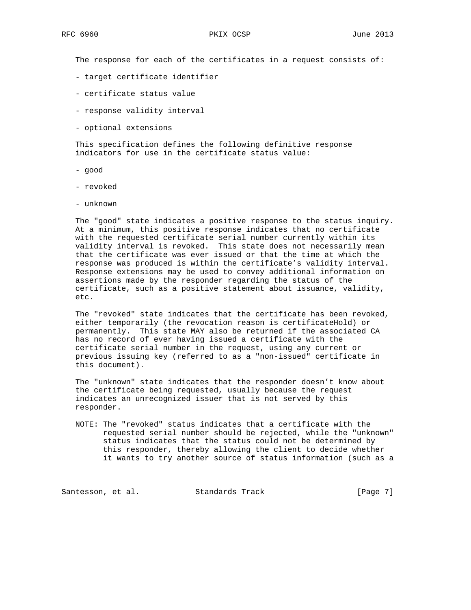The response for each of the certificates in a request consists of:

- target certificate identifier
- certificate status value
- response validity interval
- optional extensions

 This specification defines the following definitive response indicators for use in the certificate status value:

- good
- revoked
- unknown

 The "good" state indicates a positive response to the status inquiry. At a minimum, this positive response indicates that no certificate with the requested certificate serial number currently within its validity interval is revoked. This state does not necessarily mean that the certificate was ever issued or that the time at which the response was produced is within the certificate's validity interval. Response extensions may be used to convey additional information on assertions made by the responder regarding the status of the certificate, such as a positive statement about issuance, validity, etc.

 The "revoked" state indicates that the certificate has been revoked, either temporarily (the revocation reason is certificateHold) or permanently. This state MAY also be returned if the associated CA has no record of ever having issued a certificate with the certificate serial number in the request, using any current or previous issuing key (referred to as a "non-issued" certificate in this document).

 The "unknown" state indicates that the responder doesn't know about the certificate being requested, usually because the request indicates an unrecognized issuer that is not served by this responder.

 NOTE: The "revoked" status indicates that a certificate with the requested serial number should be rejected, while the "unknown" status indicates that the status could not be determined by this responder, thereby allowing the client to decide whether it wants to try another source of status information (such as a

Santesson, et al. Standards Track [Page 7]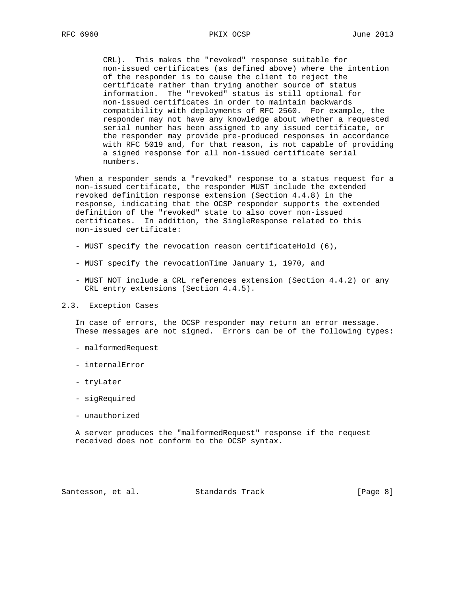CRL). This makes the "revoked" response suitable for non-issued certificates (as defined above) where the intention of the responder is to cause the client to reject the certificate rather than trying another source of status information. The "revoked" status is still optional for non-issued certificates in order to maintain backwards compatibility with deployments of RFC 2560. For example, the responder may not have any knowledge about whether a requested serial number has been assigned to any issued certificate, or the responder may provide pre-produced responses in accordance with RFC 5019 and, for that reason, is not capable of providing a signed response for all non-issued certificate serial numbers.

 When a responder sends a "revoked" response to a status request for a non-issued certificate, the responder MUST include the extended revoked definition response extension (Section 4.4.8) in the response, indicating that the OCSP responder supports the extended definition of the "revoked" state to also cover non-issued certificates. In addition, the SingleResponse related to this non-issued certificate:

- MUST specify the revocation reason certificateHold (6),
- MUST specify the revocationTime January 1, 1970, and
- MUST NOT include a CRL references extension (Section 4.4.2) or any CRL entry extensions (Section 4.4.5).
- 2.3. Exception Cases

 In case of errors, the OCSP responder may return an error message. These messages are not signed. Errors can be of the following types:

- malformedRequest
- internalError
- tryLater
- sigRequired
- unauthorized

 A server produces the "malformedRequest" response if the request received does not conform to the OCSP syntax.

Santesson, et al. Standards Track [Page 8]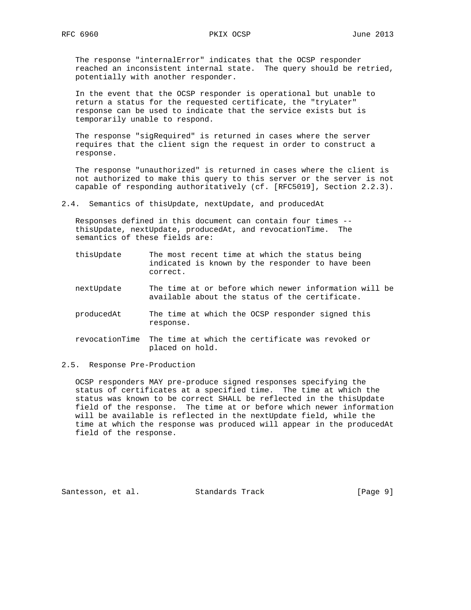The response "internalError" indicates that the OCSP responder reached an inconsistent internal state. The query should be retried, potentially with another responder.

 In the event that the OCSP responder is operational but unable to return a status for the requested certificate, the "tryLater" response can be used to indicate that the service exists but is temporarily unable to respond.

 The response "sigRequired" is returned in cases where the server requires that the client sign the request in order to construct a response.

 The response "unauthorized" is returned in cases where the client is not authorized to make this query to this server or the server is not capable of responding authoritatively (cf. [RFC5019], Section 2.2.3).

2.4. Semantics of thisUpdate, nextUpdate, and producedAt

 Responses defined in this document can contain four times - thisUpdate, nextUpdate, producedAt, and revocationTime. The semantics of these fields are:

- thisUpdate The most recent time at which the status being indicated is known by the responder to have been correct.
- nextUpdate The time at or before which newer information will be available about the status of the certificate.
- producedAt The time at which the OCSP responder signed this response.
- revocationTime The time at which the certificate was revoked or placed on hold.
- 2.5. Response Pre-Production

 OCSP responders MAY pre-produce signed responses specifying the status of certificates at a specified time. The time at which the status was known to be correct SHALL be reflected in the thisUpdate field of the response. The time at or before which newer information will be available is reflected in the nextUpdate field, while the time at which the response was produced will appear in the producedAt field of the response.

Santesson, et al. Standards Track [Page 9]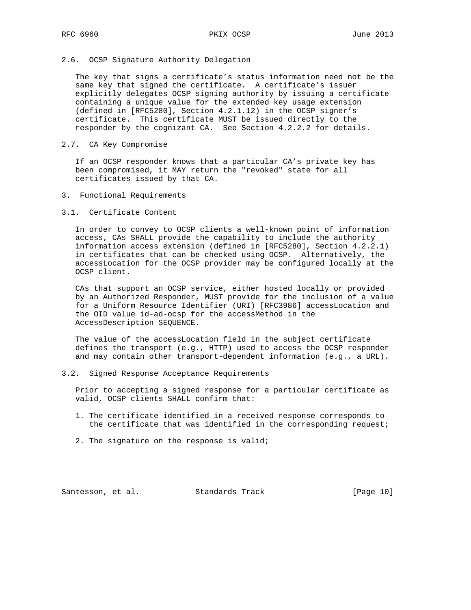## 2.6. OCSP Signature Authority Delegation

 The key that signs a certificate's status information need not be the same key that signed the certificate. A certificate's issuer explicitly delegates OCSP signing authority by issuing a certificate containing a unique value for the extended key usage extension (defined in [RFC5280], Section 4.2.1.12) in the OCSP signer's certificate. This certificate MUST be issued directly to the responder by the cognizant CA. See Section 4.2.2.2 for details.

## 2.7. CA Key Compromise

 If an OCSP responder knows that a particular CA's private key has been compromised, it MAY return the "revoked" state for all certificates issued by that CA.

3. Functional Requirements

3.1. Certificate Content

 In order to convey to OCSP clients a well-known point of information access, CAs SHALL provide the capability to include the authority information access extension (defined in [RFC5280], Section 4.2.2.1) in certificates that can be checked using OCSP. Alternatively, the accessLocation for the OCSP provider may be configured locally at the OCSP client.

 CAs that support an OCSP service, either hosted locally or provided by an Authorized Responder, MUST provide for the inclusion of a value for a Uniform Resource Identifier (URI) [RFC3986] accessLocation and the OID value id-ad-ocsp for the accessMethod in the AccessDescription SEQUENCE.

 The value of the accessLocation field in the subject certificate defines the transport (e.g., HTTP) used to access the OCSP responder and may contain other transport-dependent information (e.g., a URL).

3.2. Signed Response Acceptance Requirements

 Prior to accepting a signed response for a particular certificate as valid, OCSP clients SHALL confirm that:

- 1. The certificate identified in a received response corresponds to the certificate that was identified in the corresponding request;
- 2. The signature on the response is valid;

Santesson, et al. Standards Track [Page 10]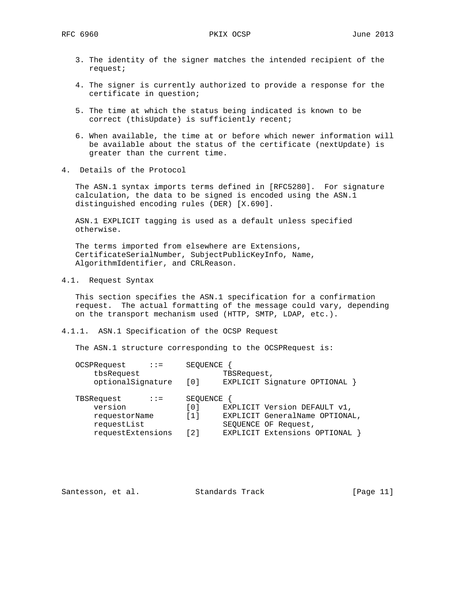- 3. The identity of the signer matches the intended recipient of the request;
- 4. The signer is currently authorized to provide a response for the certificate in question;
- 5. The time at which the status being indicated is known to be correct (thisUpdate) is sufficiently recent;
- 6. When available, the time at or before which newer information will be available about the status of the certificate (nextUpdate) is greater than the current time.
- 4. Details of the Protocol

 The ASN.1 syntax imports terms defined in [RFC5280]. For signature calculation, the data to be signed is encoded using the ASN.1 distinguished encoding rules (DER) [X.690].

 ASN.1 EXPLICIT tagging is used as a default unless specified otherwise.

 The terms imported from elsewhere are Extensions, CertificateSerialNumber, SubjectPublicKeyInfo, Name, AlgorithmIdentifier, and CRLReason.

4.1. Request Syntax

 This section specifies the ASN.1 specification for a confirmation request. The actual formatting of the message could vary, depending on the transport mechanism used (HTTP, SMTP, LDAP, etc.).

4.1.1. ASN.1 Specification of the OCSP Request

The ASN.1 structure corresponding to the OCSPRequest is:

| OCSPRequest<br>$\therefore$ $\therefore$ $=$ | <b>SEOUENCE</b>                                   |  |
|----------------------------------------------|---------------------------------------------------|--|
| tbsRequest                                   | TBSRequest,                                       |  |
| optionalSignature                            | EXPLICIT Signature OPTIONAL<br>[0]                |  |
|                                              |                                                   |  |
| TBSRequest<br>$\therefore$ $\therefore$ $=$  | SEOUENCE                                          |  |
| version                                      | EXPLICIT Version DEFAULT v1,<br>[0]               |  |
| requestorName                                | EXPLICIT GeneralName OPTIONAL,<br>[1]             |  |
| requestList                                  | SEQUENCE OF Request,                              |  |
| requestExtensions                            | EXPLICIT Extensions OPTIONAL<br>$\lceil 2 \rceil$ |  |

| Santesson, | et al. |
|------------|--------|
|------------|--------|

Standards Track [Page 11]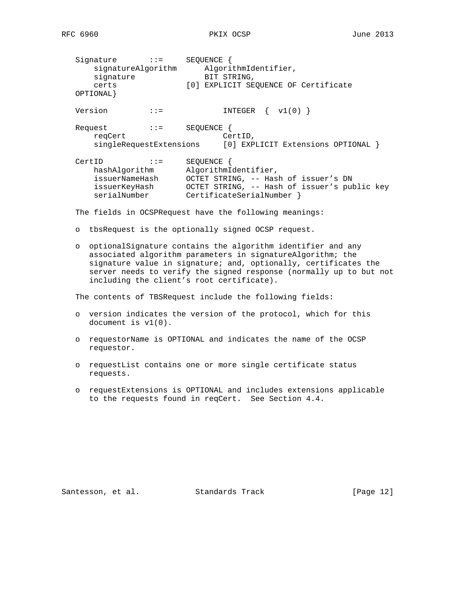Signature ::= SEQUENCE { signatureAlgorithm AlgorithmIdentifier, signature BIT STRING, certs [0] EXPLICIT SEQUENCE OF Certificate certs<br>{OPTIONAL Version  $\qquad ::=$  INTEGER  $\{ v1(0) \}$  Request ::= SEQUENCE { reqCert CertID, singleRequestExtensions [0] EXPLICIT Extensions OPTIONAL } CertID ::= SEQUENCE { hashAlgorithm AlgorithmIdentifier, issuerNameHash OCTET STRING, -- Hash of issuer's DN issuerKeyHash OCTET STRING, -- Hash of issuer's public key serialNumber CertificateSerialNumber }

The fields in OCSPRequest have the following meanings:

- o tbsRequest is the optionally signed OCSP request.
- o optionalSignature contains the algorithm identifier and any associated algorithm parameters in signatureAlgorithm; the signature value in signature; and, optionally, certificates the server needs to verify the signed response (normally up to but not including the client's root certificate).

The contents of TBSRequest include the following fields:

- o version indicates the version of the protocol, which for this document is v1(0).
- o requestorName is OPTIONAL and indicates the name of the OCSP requestor.
- o requestList contains one or more single certificate status requests.
- o requestExtensions is OPTIONAL and includes extensions applicable to the requests found in reqCert. See Section 4.4.

Santesson, et al. Standards Track [Page 12]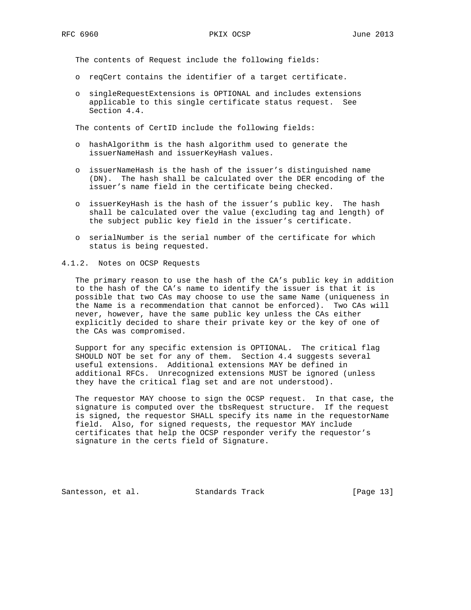The contents of Request include the following fields:

- o reqCert contains the identifier of a target certificate.
- o singleRequestExtensions is OPTIONAL and includes extensions applicable to this single certificate status request. See Section 4.4.

The contents of CertID include the following fields:

- o hashAlgorithm is the hash algorithm used to generate the issuerNameHash and issuerKeyHash values.
- o issuerNameHash is the hash of the issuer's distinguished name (DN). The hash shall be calculated over the DER encoding of the issuer's name field in the certificate being checked.
- o issuerKeyHash is the hash of the issuer's public key. The hash shall be calculated over the value (excluding tag and length) of the subject public key field in the issuer's certificate.
- o serialNumber is the serial number of the certificate for which status is being requested.

### 4.1.2. Notes on OCSP Requests

 The primary reason to use the hash of the CA's public key in addition to the hash of the CA's name to identify the issuer is that it is possible that two CAs may choose to use the same Name (uniqueness in the Name is a recommendation that cannot be enforced). Two CAs will never, however, have the same public key unless the CAs either explicitly decided to share their private key or the key of one of the CAs was compromised.

 Support for any specific extension is OPTIONAL. The critical flag SHOULD NOT be set for any of them. Section 4.4 suggests several useful extensions. Additional extensions MAY be defined in additional RFCs. Unrecognized extensions MUST be ignored (unless they have the critical flag set and are not understood).

 The requestor MAY choose to sign the OCSP request. In that case, the signature is computed over the tbsRequest structure. If the request is signed, the requestor SHALL specify its name in the requestorName field. Also, for signed requests, the requestor MAY include certificates that help the OCSP responder verify the requestor's signature in the certs field of Signature.

Santesson, et al. Standards Track [Page 13]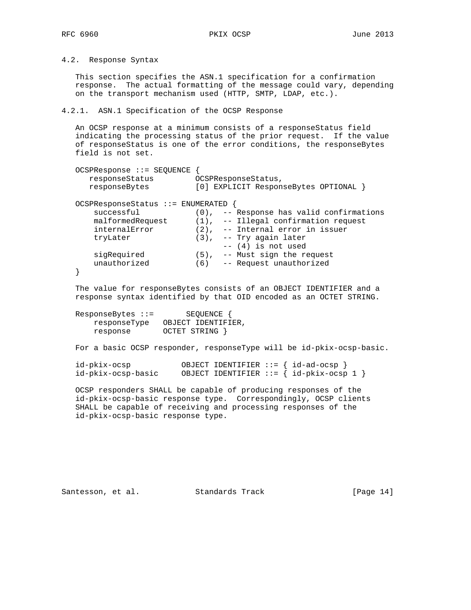4.2. Response Syntax

 This section specifies the ASN.1 specification for a confirmation response. The actual formatting of the message could vary, depending on the transport mechanism used (HTTP, SMTP, LDAP, etc.).

## 4.2.1. ASN.1 Specification of the OCSP Response

 An OCSP response at a minimum consists of a responseStatus field indicating the processing status of the prior request. If the value of responseStatus is one of the error conditions, the responseBytes field is not set.

| $OCSPResponse$ : = $SEQUENCE$<br>responseStatus<br>responseBytes                                                                | OCSPResponseStatus,<br>[0] EXPLICIT ResponseBytes OPTIONAL }                                                                                                                                                                                         |
|---------------------------------------------------------------------------------------------------------------------------------|------------------------------------------------------------------------------------------------------------------------------------------------------------------------------------------------------------------------------------------------------|
| OCSPResponseStatus ::= ENUMERATED<br>successful<br>malformedRequest<br>internalError<br>tryLater<br>sigRequired<br>unauthorized | $(0)$ , -- Response has valid confirmations<br>$(1)$ , -- Illegal confirmation request<br>$(2)$ , -- Internal error in issuer<br>$(3)$ , -- Try again later<br>$--(4)$ is not used<br>(5), -- Must sign the request<br>$(6)$ -- Request unauthorized |
|                                                                                                                                 |                                                                                                                                                                                                                                                      |

 The value for responseBytes consists of an OBJECT IDENTIFIER and a response syntax identified by that OID encoded as an OCTET STRING.

 ResponseBytes ::= SEQUENCE { responseType OBJECT IDENTIFIER, response OCTET STRING }

For a basic OCSP responder, responseType will be id-pkix-ocsp-basic.

```
 id-pkix-ocsp OBJECT IDENTIFIER ::= { id-ad-ocsp }
 id-pkix-ocsp-basic OBJECT IDENTIFIER ::= { id-pkix-ocsp 1 }
```
 OCSP responders SHALL be capable of producing responses of the id-pkix-ocsp-basic response type. Correspondingly, OCSP clients SHALL be capable of receiving and processing responses of the id-pkix-ocsp-basic response type.

Santesson, et al. Standards Track [Page 14]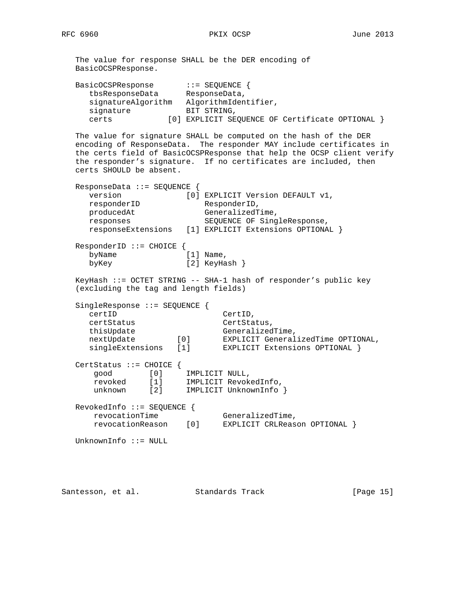The value for response SHALL be the DER encoding of BasicOCSPResponse. BasicOCSPResponse ::= SEQUENCE { tbsResponseData ResponseData, signatureAlgorithm AlgorithmIdentifier, signature BIT STRING, certs [0] EXPLICIT SEQUENCE OF Certificate OPTIONAL } The value for signature SHALL be computed on the hash of the DER encoding of ResponseData. The responder MAY include certificates in the certs field of BasicOCSPResponse that help the OCSP client verify the responder's signature. If no certificates are included, then certs SHOULD be absent. ResponseData ::= SEQUENCE { version [0] EXPLICIT Version DEFAULT v1, responderID ResponderID, respondering and the GeneralizedTime,<br>producedAt GeneralizedTime, responses SEQUENCE OF SingleResponse, responseExtensions [1] EXPLICIT Extensions OPTIONAL } ResponderID ::= CHOICE { byName [1] Name, byKey [2] KeyHash } KeyHash ::= OCTET STRING -- SHA-1 hash of responder's public key (excluding the tag and length fields) SingleResponse ::= SEQUENCE { certID CertID, certStatus CertStatus, thisUpdate GeneralizedTime,<br>
nextUpdate [0] EXPLICIT General nextUpdate [0] EXPLICIT GeneralizedTime OPTIONAL,<br>singleExtensions [1] EXPLICIT Extensions OPTIONAL } EXPLICIT Extensions OPTIONAL } CertStatus ::= CHOICE { good [0] IMPLICIT NULL, revoked [1] IMPLICIT RevokedInfo, unknown [2] IMPLICIT UnknownInfo } RevokedInfo ::= SEQUENCE { revocationTime GeneralizedTime, revocationReason [0] EXPLICIT CRLReason OPTIONAL } UnknownInfo ::= NULL

Santesson, et al. Standards Track [Page 15]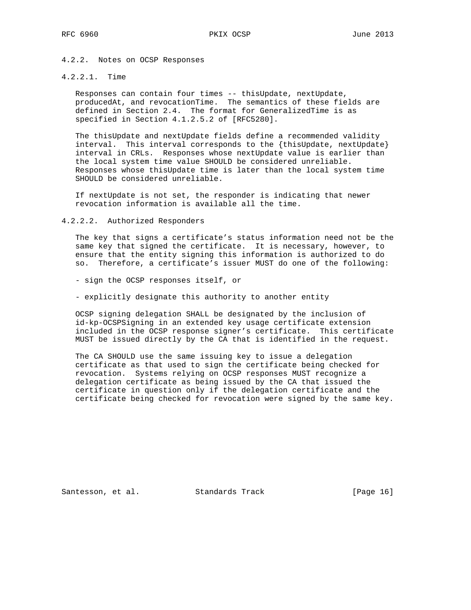# 4.2.2. Notes on OCSP Responses

# 4.2.2.1. Time

 Responses can contain four times -- thisUpdate, nextUpdate, producedAt, and revocationTime. The semantics of these fields are defined in Section 2.4. The format for GeneralizedTime is as specified in Section 4.1.2.5.2 of [RFC5280].

 The thisUpdate and nextUpdate fields define a recommended validity interval. This interval corresponds to the {thisUpdate, nextUpdate} interval in CRLs. Responses whose nextUpdate value is earlier than the local system time value SHOULD be considered unreliable. Responses whose thisUpdate time is later than the local system time SHOULD be considered unreliable.

 If nextUpdate is not set, the responder is indicating that newer revocation information is available all the time.

4.2.2.2. Authorized Responders

 The key that signs a certificate's status information need not be the same key that signed the certificate. It is necessary, however, to ensure that the entity signing this information is authorized to do so. Therefore, a certificate's issuer MUST do one of the following:

- sign the OCSP responses itself, or
- explicitly designate this authority to another entity

 OCSP signing delegation SHALL be designated by the inclusion of id-kp-OCSPSigning in an extended key usage certificate extension included in the OCSP response signer's certificate. This certificate MUST be issued directly by the CA that is identified in the request.

 The CA SHOULD use the same issuing key to issue a delegation certificate as that used to sign the certificate being checked for revocation. Systems relying on OCSP responses MUST recognize a delegation certificate as being issued by the CA that issued the certificate in question only if the delegation certificate and the certificate being checked for revocation were signed by the same key.

Santesson, et al. Standards Track [Page 16]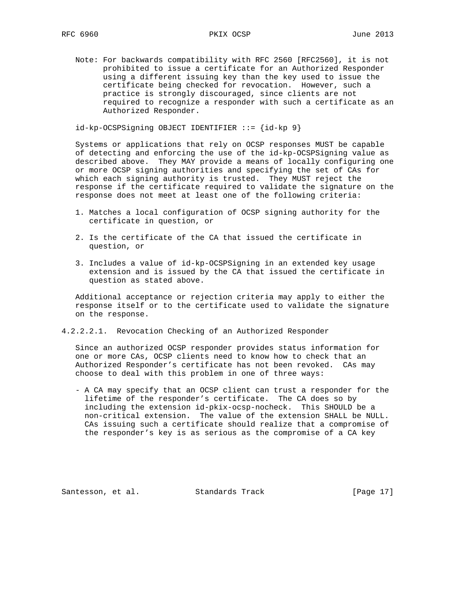Note: For backwards compatibility with RFC 2560 [RFC2560], it is not prohibited to issue a certificate for an Authorized Responder using a different issuing key than the key used to issue the certificate being checked for revocation. However, such a practice is strongly discouraged, since clients are not required to recognize a responder with such a certificate as an Authorized Responder.

id-kp-OCSPSigning OBJECT IDENTIFIER ::= {id-kp 9}

 Systems or applications that rely on OCSP responses MUST be capable of detecting and enforcing the use of the id-kp-OCSPSigning value as described above. They MAY provide a means of locally configuring one or more OCSP signing authorities and specifying the set of CAs for which each signing authority is trusted. They MUST reject the response if the certificate required to validate the signature on the response does not meet at least one of the following criteria:

- 1. Matches a local configuration of OCSP signing authority for the certificate in question, or
- 2. Is the certificate of the CA that issued the certificate in question, or
- 3. Includes a value of id-kp-OCSPSigning in an extended key usage extension and is issued by the CA that issued the certificate in question as stated above.

 Additional acceptance or rejection criteria may apply to either the response itself or to the certificate used to validate the signature on the response.

4.2.2.2.1. Revocation Checking of an Authorized Responder

 Since an authorized OCSP responder provides status information for one or more CAs, OCSP clients need to know how to check that an Authorized Responder's certificate has not been revoked. CAs may choose to deal with this problem in one of three ways:

 - A CA may specify that an OCSP client can trust a responder for the lifetime of the responder's certificate. The CA does so by including the extension id-pkix-ocsp-nocheck. This SHOULD be a non-critical extension. The value of the extension SHALL be NULL. CAs issuing such a certificate should realize that a compromise of the responder's key is as serious as the compromise of a CA key

Santesson, et al. Standards Track [Page 17]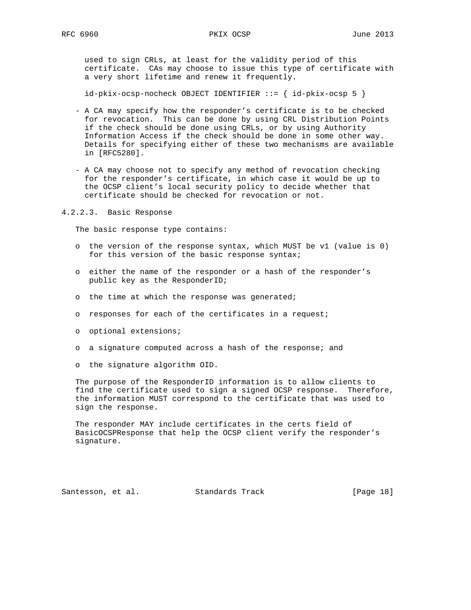used to sign CRLs, at least for the validity period of this certificate. CAs may choose to issue this type of certificate with a very short lifetime and renew it frequently.

id-pkix-ocsp-nocheck OBJECT IDENTIFIER ::= { id-pkix-ocsp 5 }

- A CA may specify how the responder's certificate is to be checked for revocation. This can be done by using CRL Distribution Points if the check should be done using CRLs, or by using Authority Information Access if the check should be done in some other way. Details for specifying either of these two mechanisms are available in [RFC5280].
- A CA may choose not to specify any method of revocation checking for the responder's certificate, in which case it would be up to the OCSP client's local security policy to decide whether that certificate should be checked for revocation or not.

4.2.2.3. Basic Response

The basic response type contains:

- o the version of the response syntax, which MUST be v1 (value is 0) for this version of the basic response syntax;
- o either the name of the responder or a hash of the responder's public key as the ResponderID;
- o the time at which the response was generated;
- o responses for each of the certificates in a request;
- o optional extensions;
- o a signature computed across a hash of the response; and
- o the signature algorithm OID.

 The purpose of the ResponderID information is to allow clients to find the certificate used to sign a signed OCSP response. Therefore, the information MUST correspond to the certificate that was used to sign the response.

 The responder MAY include certificates in the certs field of BasicOCSPResponse that help the OCSP client verify the responder's signature.

Santesson, et al. Standards Track [Page 18]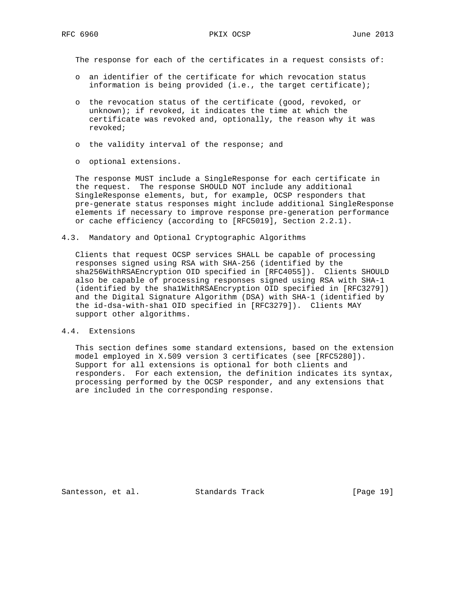The response for each of the certificates in a request consists of:

- o an identifier of the certificate for which revocation status information is being provided (i.e., the target certificate);
- o the revocation status of the certificate (good, revoked, or unknown); if revoked, it indicates the time at which the certificate was revoked and, optionally, the reason why it was revoked;
- o the validity interval of the response; and
- o optional extensions.

 The response MUST include a SingleResponse for each certificate in the request. The response SHOULD NOT include any additional SingleResponse elements, but, for example, OCSP responders that pre-generate status responses might include additional SingleResponse elements if necessary to improve response pre-generation performance or cache efficiency (according to [RFC5019], Section 2.2.1).

4.3. Mandatory and Optional Cryptographic Algorithms

 Clients that request OCSP services SHALL be capable of processing responses signed using RSA with SHA-256 (identified by the sha256WithRSAEncryption OID specified in [RFC4055]). Clients SHOULD also be capable of processing responses signed using RSA with SHA-1 (identified by the sha1WithRSAEncryption OID specified in [RFC3279]) and the Digital Signature Algorithm (DSA) with SHA-1 (identified by the id-dsa-with-sha1 OID specified in [RFC3279]). Clients MAY support other algorithms.

4.4. Extensions

 This section defines some standard extensions, based on the extension model employed in X.509 version 3 certificates (see [RFC5280]). Support for all extensions is optional for both clients and responders. For each extension, the definition indicates its syntax, processing performed by the OCSP responder, and any extensions that are included in the corresponding response.

Santesson, et al. Standards Track [Page 19]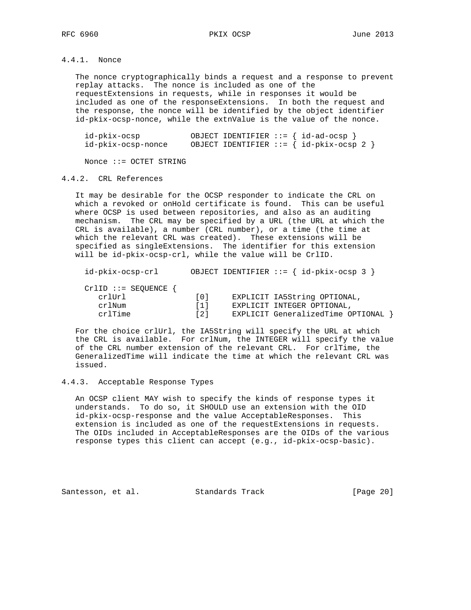# 4.4.1. Nonce

 The nonce cryptographically binds a request and a response to prevent replay attacks. The nonce is included as one of the requestExtensions in requests, while in responses it would be included as one of the responseExtensions. In both the request and the response, the nonce will be identified by the object identifier id-pkix-ocsp-nonce, while the extnValue is the value of the nonce.

| id-pkix-ocsp       |  | OBJECT IDENTIFIER ::= $\{ id-ad-ocsp \}$    |
|--------------------|--|---------------------------------------------|
| id-pkix-ocsp-nonce |  | OBJECT IDENTIFIER ::= { $id$ -pkix-ocsp 2 } |

Nonce ::= OCTET STRING

#### 4.4.2. CRL References

 It may be desirable for the OCSP responder to indicate the CRL on which a revoked or onHold certificate is found. This can be useful where OCSP is used between repositories, and also as an auditing mechanism. The CRL may be specified by a URL (the URL at which the CRL is available), a number (CRL number), or a time (the time at which the relevant CRL was created). These extensions will be specified as singleExtensions. The identifier for this extension will be id-pkix-ocsp-crl, while the value will be CrlID.

| id-pkix-ocsp-crl      |       | OBJECT IDENTIFIER ::= $\{ id-pkix-ocsp 3 \}$ |
|-----------------------|-------|----------------------------------------------|
| $Cr1ID :: = SEQUENCE$ |       |                                              |
| crlUrl                | [0]   | EXPLICIT IA5String OPTIONAL,                 |
| crlNum                | [1]   | EXPLICIT INTEGER OPTIONAL,                   |
| crlTime               | [ 2 ] | EXPLICIT GeneralizedTime OPTIONAL }          |

 For the choice crlUrl, the IA5String will specify the URL at which the CRL is available. For crlNum, the INTEGER will specify the value of the CRL number extension of the relevant CRL. For crlTime, the GeneralizedTime will indicate the time at which the relevant CRL was issued.

## 4.4.3. Acceptable Response Types

 An OCSP client MAY wish to specify the kinds of response types it understands. To do so, it SHOULD use an extension with the OID id-pkix-ocsp-response and the value AcceptableResponses. This extension is included as one of the requestExtensions in requests. The OIDs included in AcceptableResponses are the OIDs of the various response types this client can accept (e.g., id-pkix-ocsp-basic).

Santesson, et al. Standards Track [Page 20]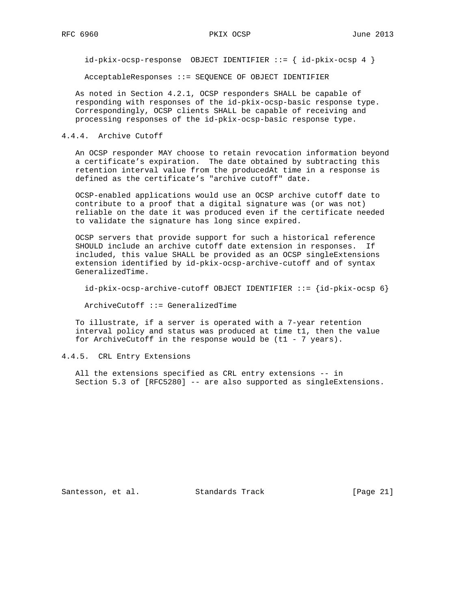$id-pkix-ocsp-response$  OBJECT IDENTIFIER ::= {  $id-pkix-ocsp 4$  }

AcceptableResponses ::= SEQUENCE OF OBJECT IDENTIFIER

 As noted in Section 4.2.1, OCSP responders SHALL be capable of responding with responses of the id-pkix-ocsp-basic response type. Correspondingly, OCSP clients SHALL be capable of receiving and processing responses of the id-pkix-ocsp-basic response type.

## 4.4.4. Archive Cutoff

 An OCSP responder MAY choose to retain revocation information beyond a certificate's expiration. The date obtained by subtracting this retention interval value from the producedAt time in a response is defined as the certificate's "archive cutoff" date.

 OCSP-enabled applications would use an OCSP archive cutoff date to contribute to a proof that a digital signature was (or was not) reliable on the date it was produced even if the certificate needed to validate the signature has long since expired.

 OCSP servers that provide support for such a historical reference SHOULD include an archive cutoff date extension in responses. If included, this value SHALL be provided as an OCSP singleExtensions extension identified by id-pkix-ocsp-archive-cutoff and of syntax GeneralizedTime.

 $id-pkix-ocsp-archive-cutoff OBJECT IDENTIFIER ::=\{id-pkix-cosp 6\}$ 

ArchiveCutoff ::= GeneralizedTime

 To illustrate, if a server is operated with a 7-year retention interval policy and status was produced at time t1, then the value for ArchiveCutoff in the response would be (t1 - 7 years).

4.4.5. CRL Entry Extensions

 All the extensions specified as CRL entry extensions -- in Section 5.3 of [RFC5280] -- are also supported as singleExtensions.

Santesson, et al. Standards Track [Page 21]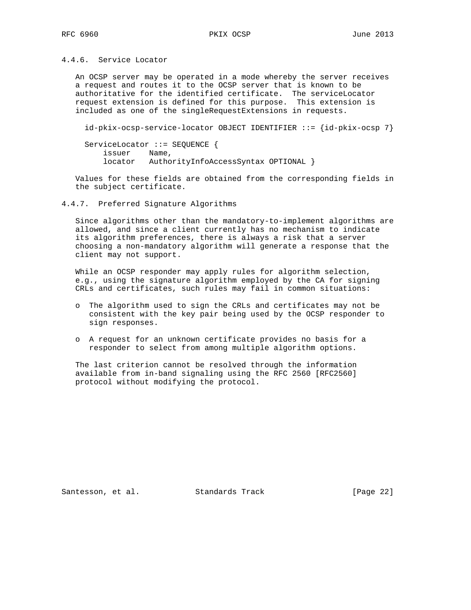4.4.6. Service Locator

 An OCSP server may be operated in a mode whereby the server receives a request and routes it to the OCSP server that is known to be authoritative for the identified certificate. The serviceLocator request extension is defined for this purpose. This extension is included as one of the singleRequestExtensions in requests.

 $id-pkix-ocsp-service-locator OBJECT IDENTIFIER ::=\{id-pkix-ccsp 7\}$ 

 ServiceLocator ::= SEQUENCE { issuer Name, locator AuthorityInfoAccessSyntax OPTIONAL }

 Values for these fields are obtained from the corresponding fields in the subject certificate.

4.4.7. Preferred Signature Algorithms

 Since algorithms other than the mandatory-to-implement algorithms are allowed, and since a client currently has no mechanism to indicate its algorithm preferences, there is always a risk that a server choosing a non-mandatory algorithm will generate a response that the client may not support.

 While an OCSP responder may apply rules for algorithm selection, e.g., using the signature algorithm employed by the CA for signing CRLs and certificates, such rules may fail in common situations:

- o The algorithm used to sign the CRLs and certificates may not be consistent with the key pair being used by the OCSP responder to sign responses.
- o A request for an unknown certificate provides no basis for a responder to select from among multiple algorithm options.

 The last criterion cannot be resolved through the information available from in-band signaling using the RFC 2560 [RFC2560] protocol without modifying the protocol.

Santesson, et al. Standards Track [Page 22]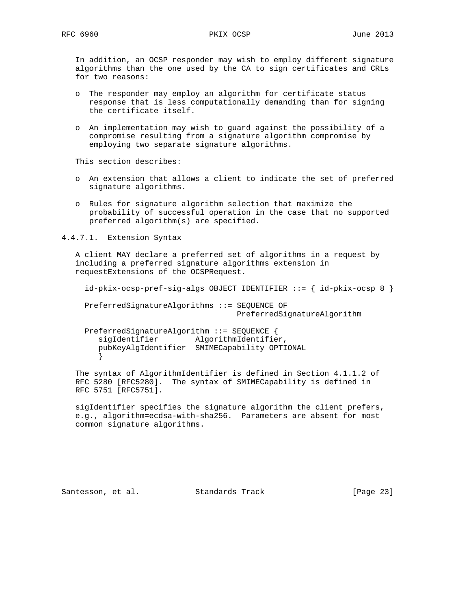## RFC 6960 PKIX OCSP June 2013

 In addition, an OCSP responder may wish to employ different signature algorithms than the one used by the CA to sign certificates and CRLs for two reasons:

- o The responder may employ an algorithm for certificate status response that is less computationally demanding than for signing the certificate itself.
- o An implementation may wish to guard against the possibility of a compromise resulting from a signature algorithm compromise by employing two separate signature algorithms.

This section describes:

- o An extension that allows a client to indicate the set of preferred signature algorithms.
- o Rules for signature algorithm selection that maximize the probability of successful operation in the case that no supported preferred algorithm(s) are specified.

4.4.7.1. Extension Syntax

 A client MAY declare a preferred set of algorithms in a request by including a preferred signature algorithms extension in requestExtensions of the OCSPRequest.

 id-pkix-ocsp-pref-sig-algs OBJECT IDENTIFIER ::= { id-pkix-ocsp 8 } PreferredSignatureAlgorithms ::= SEQUENCE OF PreferredSignatureAlgorithm PreferredSignatureAlgorithm ::= SEQUENCE { sigIdentifier AlgorithmIdentifier, pubKeyAlgIdentifier SMIMECapability OPTIONAL }

 The syntax of AlgorithmIdentifier is defined in Section 4.1.1.2 of RFC 5280 [RFC5280]. The syntax of SMIMECapability is defined in RFC 5751 [RFC5751].

 sigIdentifier specifies the signature algorithm the client prefers, e.g., algorithm=ecdsa-with-sha256. Parameters are absent for most common signature algorithms.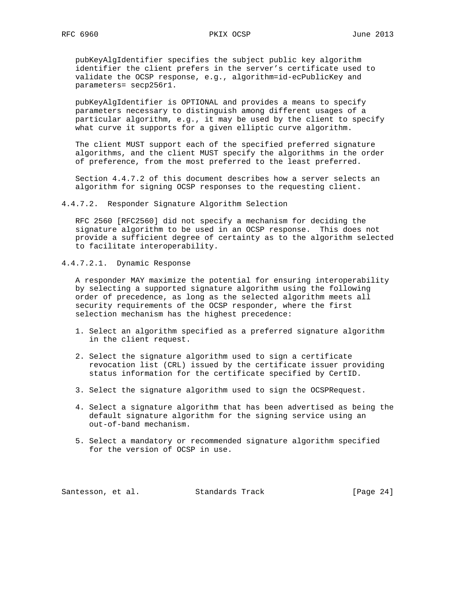pubKeyAlgIdentifier specifies the subject public key algorithm identifier the client prefers in the server's certificate used to validate the OCSP response, e.g., algorithm=id-ecPublicKey and parameters= secp256r1.

 pubKeyAlgIdentifier is OPTIONAL and provides a means to specify parameters necessary to distinguish among different usages of a particular algorithm, e.g., it may be used by the client to specify what curve it supports for a given elliptic curve algorithm.

 The client MUST support each of the specified preferred signature algorithms, and the client MUST specify the algorithms in the order of preference, from the most preferred to the least preferred.

 Section 4.4.7.2 of this document describes how a server selects an algorithm for signing OCSP responses to the requesting client.

4.4.7.2. Responder Signature Algorithm Selection

 RFC 2560 [RFC2560] did not specify a mechanism for deciding the signature algorithm to be used in an OCSP response. This does not provide a sufficient degree of certainty as to the algorithm selected to facilitate interoperability.

4.4.7.2.1. Dynamic Response

 A responder MAY maximize the potential for ensuring interoperability by selecting a supported signature algorithm using the following order of precedence, as long as the selected algorithm meets all security requirements of the OCSP responder, where the first selection mechanism has the highest precedence:

- 1. Select an algorithm specified as a preferred signature algorithm in the client request.
- 2. Select the signature algorithm used to sign a certificate revocation list (CRL) issued by the certificate issuer providing status information for the certificate specified by CertID.
- 3. Select the signature algorithm used to sign the OCSPRequest.
- 4. Select a signature algorithm that has been advertised as being the default signature algorithm for the signing service using an out-of-band mechanism.
- 5. Select a mandatory or recommended signature algorithm specified for the version of OCSP in use.

Santesson, et al. Standards Track [Page 24]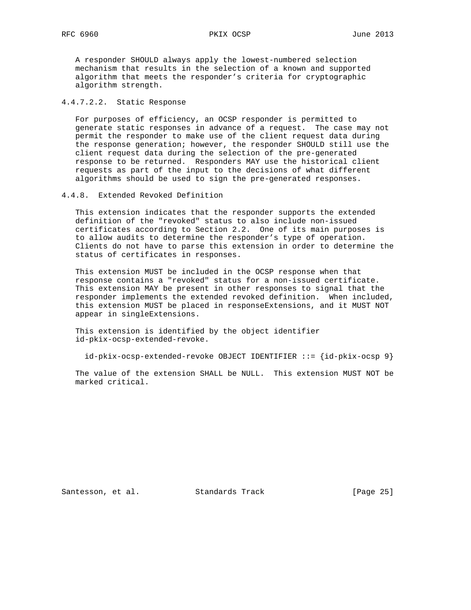#### RFC 6960 PKIX OCSP June 2013

 A responder SHOULD always apply the lowest-numbered selection mechanism that results in the selection of a known and supported algorithm that meets the responder's criteria for cryptographic algorithm strength.

4.4.7.2.2. Static Response

 For purposes of efficiency, an OCSP responder is permitted to generate static responses in advance of a request. The case may not permit the responder to make use of the client request data during the response generation; however, the responder SHOULD still use the client request data during the selection of the pre-generated response to be returned. Responders MAY use the historical client requests as part of the input to the decisions of what different algorithms should be used to sign the pre-generated responses.

4.4.8. Extended Revoked Definition

 This extension indicates that the responder supports the extended definition of the "revoked" status to also include non-issued certificates according to Section 2.2. One of its main purposes is to allow audits to determine the responder's type of operation. Clients do not have to parse this extension in order to determine the status of certificates in responses.

 This extension MUST be included in the OCSP response when that response contains a "revoked" status for a non-issued certificate. This extension MAY be present in other responses to signal that the responder implements the extended revoked definition. When included, this extension MUST be placed in responseExtensions, and it MUST NOT appear in singleExtensions.

 This extension is identified by the object identifier id-pkix-ocsp-extended-revoke.

id-pkix-ocsp-extended-revoke OBJECT IDENTIFIER ::= {id-pkix-ocsp 9}

 The value of the extension SHALL be NULL. This extension MUST NOT be marked critical.

Santesson, et al. Standards Track [Page 25]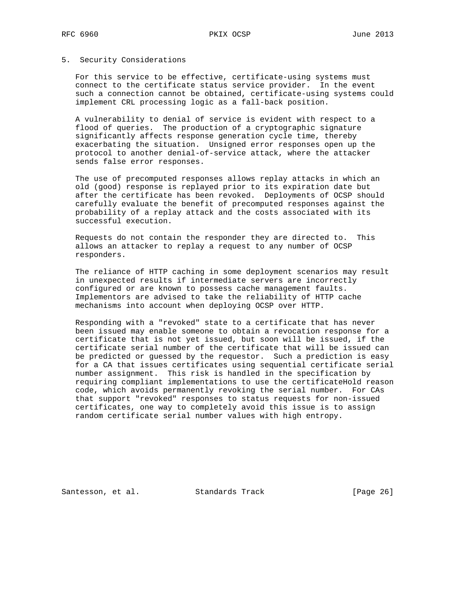## 5. Security Considerations

 For this service to be effective, certificate-using systems must connect to the certificate status service provider. In the event such a connection cannot be obtained, certificate-using systems could implement CRL processing logic as a fall-back position.

 A vulnerability to denial of service is evident with respect to a flood of queries. The production of a cryptographic signature significantly affects response generation cycle time, thereby exacerbating the situation. Unsigned error responses open up the protocol to another denial-of-service attack, where the attacker sends false error responses.

 The use of precomputed responses allows replay attacks in which an old (good) response is replayed prior to its expiration date but after the certificate has been revoked. Deployments of OCSP should carefully evaluate the benefit of precomputed responses against the probability of a replay attack and the costs associated with its successful execution.

 Requests do not contain the responder they are directed to. This allows an attacker to replay a request to any number of OCSP responders.

 The reliance of HTTP caching in some deployment scenarios may result in unexpected results if intermediate servers are incorrectly configured or are known to possess cache management faults. Implementors are advised to take the reliability of HTTP cache mechanisms into account when deploying OCSP over HTTP.

 Responding with a "revoked" state to a certificate that has never been issued may enable someone to obtain a revocation response for a certificate that is not yet issued, but soon will be issued, if the certificate serial number of the certificate that will be issued can be predicted or guessed by the requestor. Such a prediction is easy for a CA that issues certificates using sequential certificate serial number assignment. This risk is handled in the specification by requiring compliant implementations to use the certificateHold reason code, which avoids permanently revoking the serial number. For CAs that support "revoked" responses to status requests for non-issued certificates, one way to completely avoid this issue is to assign random certificate serial number values with high entropy.

Santesson, et al. Standards Track [Page 26]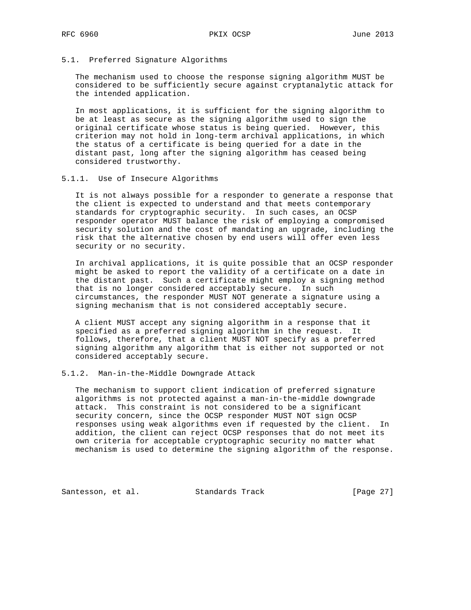## 5.1. Preferred Signature Algorithms

 The mechanism used to choose the response signing algorithm MUST be considered to be sufficiently secure against cryptanalytic attack for the intended application.

 In most applications, it is sufficient for the signing algorithm to be at least as secure as the signing algorithm used to sign the original certificate whose status is being queried. However, this criterion may not hold in long-term archival applications, in which the status of a certificate is being queried for a date in the distant past, long after the signing algorithm has ceased being considered trustworthy.

#### 5.1.1. Use of Insecure Algorithms

 It is not always possible for a responder to generate a response that the client is expected to understand and that meets contemporary standards for cryptographic security. In such cases, an OCSP responder operator MUST balance the risk of employing a compromised security solution and the cost of mandating an upgrade, including the risk that the alternative chosen by end users will offer even less security or no security.

 In archival applications, it is quite possible that an OCSP responder might be asked to report the validity of a certificate on a date in the distant past. Such a certificate might employ a signing method that is no longer considered acceptably secure. In such circumstances, the responder MUST NOT generate a signature using a signing mechanism that is not considered acceptably secure.

 A client MUST accept any signing algorithm in a response that it specified as a preferred signing algorithm in the request. It follows, therefore, that a client MUST NOT specify as a preferred signing algorithm any algorithm that is either not supported or not considered acceptably secure.

#### 5.1.2. Man-in-the-Middle Downgrade Attack

 The mechanism to support client indication of preferred signature algorithms is not protected against a man-in-the-middle downgrade attack. This constraint is not considered to be a significant security concern, since the OCSP responder MUST NOT sign OCSP responses using weak algorithms even if requested by the client. In addition, the client can reject OCSP responses that do not meet its own criteria for acceptable cryptographic security no matter what mechanism is used to determine the signing algorithm of the response.

Santesson, et al. Standards Track [Page 27]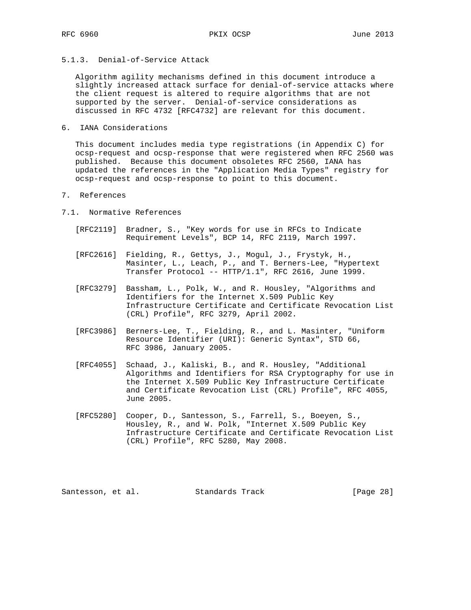5.1.3. Denial-of-Service Attack

 Algorithm agility mechanisms defined in this document introduce a slightly increased attack surface for denial-of-service attacks where the client request is altered to require algorithms that are not supported by the server. Denial-of-service considerations as discussed in RFC 4732 [RFC4732] are relevant for this document.

6. IANA Considerations

 This document includes media type registrations (in Appendix C) for ocsp-request and ocsp-response that were registered when RFC 2560 was published. Because this document obsoletes RFC 2560, IANA has updated the references in the "Application Media Types" registry for ocsp-request and ocsp-response to point to this document.

- 7. References
- 7.1. Normative References
	- [RFC2119] Bradner, S., "Key words for use in RFCs to Indicate Requirement Levels", BCP 14, RFC 2119, March 1997.
	- [RFC2616] Fielding, R., Gettys, J., Mogul, J., Frystyk, H., Masinter, L., Leach, P., and T. Berners-Lee, "Hypertext Transfer Protocol -- HTTP/1.1", RFC 2616, June 1999.
	- [RFC3279] Bassham, L., Polk, W., and R. Housley, "Algorithms and Identifiers for the Internet X.509 Public Key Infrastructure Certificate and Certificate Revocation List (CRL) Profile", RFC 3279, April 2002.
	- [RFC3986] Berners-Lee, T., Fielding, R., and L. Masinter, "Uniform Resource Identifier (URI): Generic Syntax", STD 66, RFC 3986, January 2005.
	- [RFC4055] Schaad, J., Kaliski, B., and R. Housley, "Additional Algorithms and Identifiers for RSA Cryptography for use in the Internet X.509 Public Key Infrastructure Certificate and Certificate Revocation List (CRL) Profile", RFC 4055, June 2005.
	- [RFC5280] Cooper, D., Santesson, S., Farrell, S., Boeyen, S., Housley, R., and W. Polk, "Internet X.509 Public Key Infrastructure Certificate and Certificate Revocation List (CRL) Profile", RFC 5280, May 2008.

Santesson, et al. Standards Track [Page 28]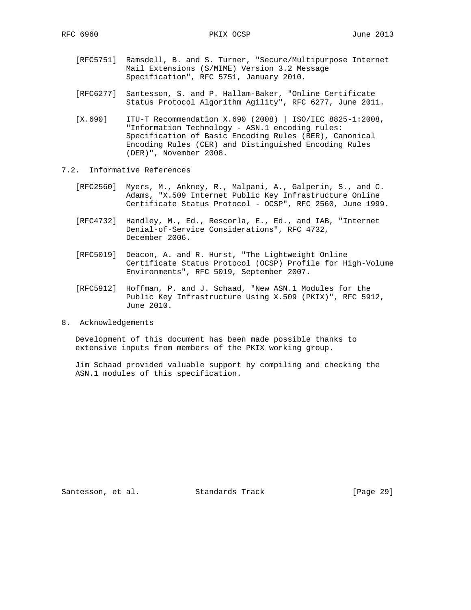- [RFC5751] Ramsdell, B. and S. Turner, "Secure/Multipurpose Internet Mail Extensions (S/MIME) Version 3.2 Message Specification", RFC 5751, January 2010.
- [RFC6277] Santesson, S. and P. Hallam-Baker, "Online Certificate Status Protocol Algorithm Agility", RFC 6277, June 2011.
- [X.690] ITU-T Recommendation X.690 (2008) | ISO/IEC 8825-1:2008, "Information Technology - ASN.1 encoding rules: Specification of Basic Encoding Rules (BER), Canonical Encoding Rules (CER) and Distinguished Encoding Rules (DER)", November 2008.
- 7.2. Informative References
	- [RFC2560] Myers, M., Ankney, R., Malpani, A., Galperin, S., and C. Adams, "X.509 Internet Public Key Infrastructure Online Certificate Status Protocol - OCSP", RFC 2560, June 1999.
	- [RFC4732] Handley, M., Ed., Rescorla, E., Ed., and IAB, "Internet Denial-of-Service Considerations", RFC 4732, December 2006.
	- [RFC5019] Deacon, A. and R. Hurst, "The Lightweight Online Certificate Status Protocol (OCSP) Profile for High-Volume Environments", RFC 5019, September 2007.
	- [RFC5912] Hoffman, P. and J. Schaad, "New ASN.1 Modules for the Public Key Infrastructure Using X.509 (PKIX)", RFC 5912, June 2010.
- 8. Acknowledgements

 Development of this document has been made possible thanks to extensive inputs from members of the PKIX working group.

 Jim Schaad provided valuable support by compiling and checking the ASN.1 modules of this specification.

Santesson, et al. Standards Track [Page 29]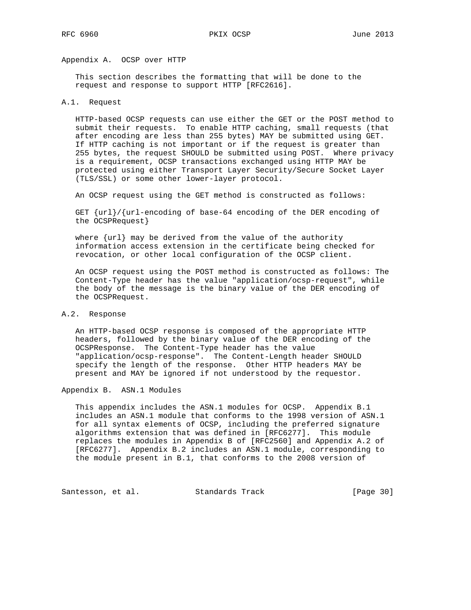# Appendix A. OCSP over HTTP

 This section describes the formatting that will be done to the request and response to support HTTP [RFC2616].

#### A.1. Request

 HTTP-based OCSP requests can use either the GET or the POST method to submit their requests. To enable HTTP caching, small requests (that after encoding are less than 255 bytes) MAY be submitted using GET. If HTTP caching is not important or if the request is greater than 255 bytes, the request SHOULD be submitted using POST. Where privacy is a requirement, OCSP transactions exchanged using HTTP MAY be protected using either Transport Layer Security/Secure Socket Layer (TLS/SSL) or some other lower-layer protocol.

An OCSP request using the GET method is constructed as follows:

 GET {url}/{url-encoding of base-64 encoding of the DER encoding of the OCSPRequest}

 where {url} may be derived from the value of the authority information access extension in the certificate being checked for revocation, or other local configuration of the OCSP client.

 An OCSP request using the POST method is constructed as follows: The Content-Type header has the value "application/ocsp-request", while the body of the message is the binary value of the DER encoding of the OCSPRequest.

## A.2. Response

 An HTTP-based OCSP response is composed of the appropriate HTTP headers, followed by the binary value of the DER encoding of the OCSPResponse. The Content-Type header has the value "application/ocsp-response". The Content-Length header SHOULD specify the length of the response. Other HTTP headers MAY be present and MAY be ignored if not understood by the requestor.

#### Appendix B. ASN.1 Modules

 This appendix includes the ASN.1 modules for OCSP. Appendix B.1 includes an ASN.1 module that conforms to the 1998 version of ASN.1 for all syntax elements of OCSP, including the preferred signature algorithms extension that was defined in [RFC6277]. This module replaces the modules in Appendix B of [RFC2560] and Appendix A.2 of [RFC6277]. Appendix B.2 includes an ASN.1 module, corresponding to the module present in B.1, that conforms to the 2008 version of

Santesson, et al. Standards Track [Page 30]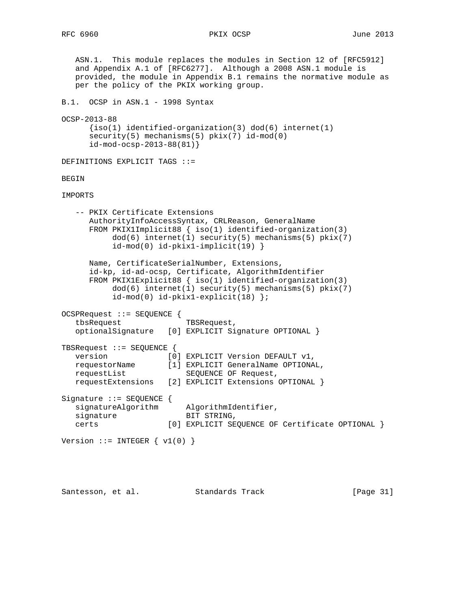## RFC 6960 PKIX OCSP June 2013

 ASN.1. This module replaces the modules in Section 12 of [RFC5912] and Appendix A.1 of [RFC6277]. Although a 2008 ASN.1 module is provided, the module in Appendix B.1 remains the normative module as per the policy of the PKIX working group. B.1. OCSP in ASN.1 - 1998 Syntax OCSP-2013-88  ${iso(1)}$  identified-organization(3) dod(6) internet(1) security(5) mechanisms(5) pkix(7) id-mod(0) id-mod-ocsp-2013-88(81)} DEFINITIONS EXPLICIT TAGS ::= BEGIN IMPORTS -- PKIX Certificate Extensions AuthorityInfoAccessSyntax, CRLReason, GeneralName FROM PKIX1Implicit88 { iso(1) identified-organization(3) dod(6) internet(1) security(5) mechanisms(5) pkix(7) id-mod(0) id-pkix1-implicit(19) } Name, CertificateSerialNumber, Extensions, id-kp, id-ad-ocsp, Certificate, AlgorithmIdentifier FROM PKIX1Explicit88 { iso(1) identified-organization(3) dod(6) internet(1) security(5) mechanisms(5) pkix(7) id-mod(0) id-pkix1-explicit(18) }; OCSPRequest ::= SEQUENCE { tbsRequest TBSRequest, optionalSignature [0] EXPLICIT Signature OPTIONAL } TBSRequest ::= SEQUENCE { version [0] EXPLICIT Version DEFAULT v1, requestorName [1] EXPLICIT GeneralName OPTIONAL, requestList SEQUENCE OF Request, requestExtensions [2] EXPLICIT Extensions OPTIONAL } Signature ::= SEQUENCE { signatureAlgorithm AlgorithmIdentifier, signature BIT STRING, certs [0] EXPLICIT SEQUENCE OF Certificate OPTIONAL } Version ::= INTEGER  $\{ v1(0) \}$ 

Santesson, et al. Standards Track [Page 31]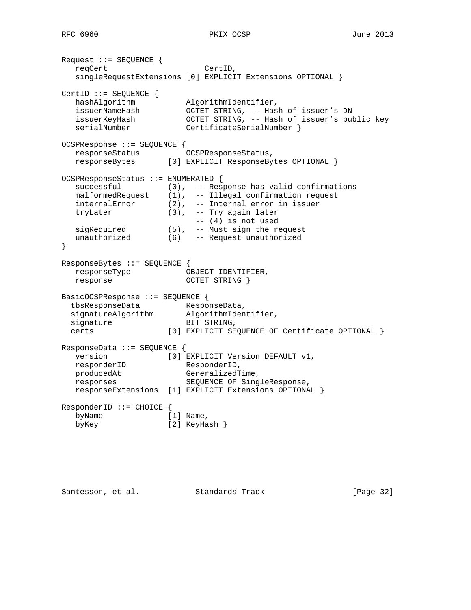Request ::= SEQUENCE { reqCert CertID, singleRequestExtensions [0] EXPLICIT Extensions OPTIONAL } CertID ::= SEQUENCE { hashAlgorithm AlgorithmIdentifier, issuerNameHash OCTET STRING, -- Hash of issuer's DN issuerKeyHash OCTET STRING, -- Hash of issuer's public key serialNumber CertificateSerialNumber } OCSPResponse ::= SEQUENCE { responseStatus OCSPResponseStatus, responseBytes [0] EXPLICIT ResponseBytes OPTIONAL } OCSPResponseStatus ::= ENUMERATED { successful (0), -- Response has valid confirmations malformedRequest (1), -- Illegal confirmation request internalError (2), -- Internal error in issuer tryLater (3), -- Try again later -- (4) is not used sigRequired (5), -- Must sign the request unauthorized (6) -- Request unauthorized } ResponseBytes ::= SEQUENCE { responseType OBJECT IDENTIFIER, response OCTET STRING } BasicOCSPResponse ::= SEQUENCE { tbsResponseData ResponseData, signatureAlgorithm AlgorithmIdentifier, signature BIT STRING, certs [0] EXPLICIT SEQUENCE OF Certificate OPTIONAL } ResponseData ::= SEQUENCE { version [0] EXPLICIT Version DEFAULT v1, responderID ResponderID, producedAt GeneralizedTime, responses SEQUENCE OF SingleResponse, responseExtensions [1] EXPLICIT Extensions OPTIONAL } ResponderID ::= CHOICE { byName [1] Name, byKey [2] KeyHash }

Santesson, et al. Standards Track [Page 32]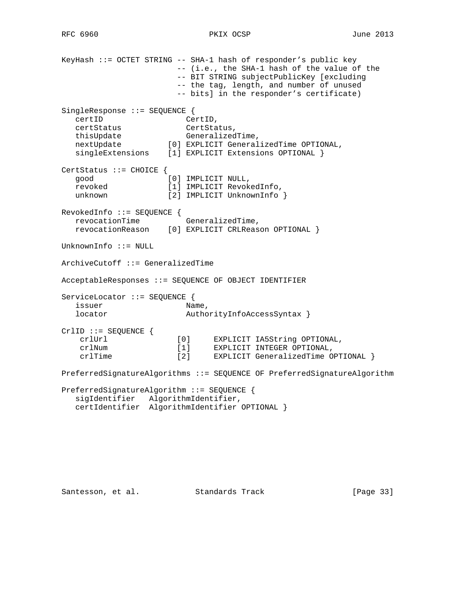KeyHash ::= OCTET STRING -- SHA-1 hash of responder's public key -- (i.e., the SHA-1 hash of the value of the -- BIT STRING subjectPublicKey [excluding -- the tag, length, and number of unused -- bits] in the responder's certificate) SingleResponse ::= SEQUENCE { certID CertID, certStatus CertStatus, thisUpdate GeneralizedTime, nextUpdate [0] EXPLICIT GeneralizedTime OPTIONAL, singleExtensions [1] EXPLICIT Extensions OPTIONAL } CertStatus ::= CHOICE { good [0] IMPLICIT NULL, revoked [1] IMPLICIT RevokedInfo, unknown [2] IMPLICIT UnknownInfo } RevokedInfo ::= SEQUENCE { revocationTime GeneralizedTime, revocationReason [0] EXPLICIT CRLReason OPTIONAL } UnknownInfo ::= NULL ArchiveCutoff ::= GeneralizedTime AcceptableResponses ::= SEQUENCE OF OBJECT IDENTIFIER ServiceLocator ::= SEQUENCE { issuer Name, locator <br>  $\begin{array}{c} \texttt{Authority} \texttt{InfoAccessSyntax} \end{array}$ CrlID ::= SEQUENCE { crlUrl [0] EXPLICIT IA5String OPTIONAL, crlNum  $[1]$  EXPLICIT INTEGER OPTIONAL, crlTime [2] EXPLICIT GeneralizedTime OPTIONAL } PreferredSignatureAlgorithms ::= SEQUENCE OF PreferredSignatureAlgorithm PreferredSignatureAlgorithm ::= SEQUENCE { sigIdentifier AlgorithmIdentifier, certIdentifier AlgorithmIdentifier OPTIONAL }

Santesson, et al. Standards Track [Page 33]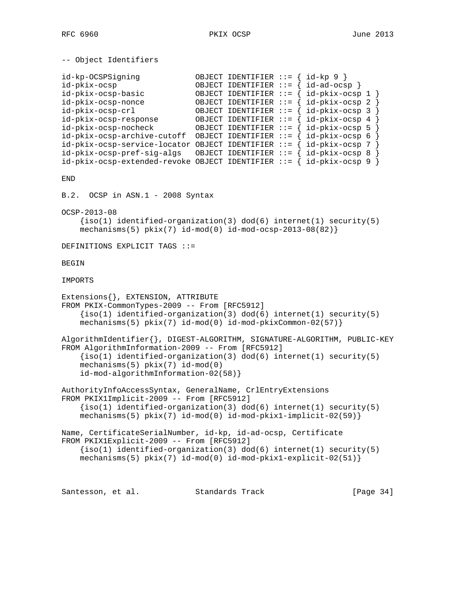-- Object Identifiers id-kp-OCSPSigning OBJECT IDENTIFIER ::= { id-kp 9 } id-pkix-ocsp OBJECT IDENTIFIER ::= { id-ad-ocsp } id-pkix-ocsp-basic OBJECT IDENTIFIER ::= { id-pkix-ocsp 1 } id-pkix-ocsp-nonce OBJECT IDENTIFIER ::= { id-pkix-ocsp 2 } id-pkix-ocsp-crl OBJECT IDENTIFIER ::= { id-pkix-ocsp 3 } id-pkix-ocsp-response OBJECT IDENTIFIER ::= { id-pkix-ocsp 4 } id-pkix-ocsp-nocheck OBJECT IDENTIFIER ::= { id-pkix-ocsp 5 } id-pkix-ocsp-archive-cutoff OBJECT IDENTIFIER  $::=$  { id-pkix-ocsp 6 } id-pkix-ocsp-service-locator OBJECT IDENTIFIER ::= { id-pkix-ocsp 7 } id-pkix-ocsp-pref-sig-algs OBJECT IDENTIFIER  $::=$   $\{$  id-pkix-ocsp 8  $\}$  $id-pkix-ocsp-extended-revoke OBJECT IDENTIFFIER ::=\{ id-pkix-ocsp 9 \}$ END B.2. OCSP in ASN.1 - 2008 Syntax OCSP-2013-08  ${s(1)$  identified-organization(3) dod(6) internet(1) security(5) mechanisms(5)  $pkix(7) id-mod(0) id-mod-ocsp-2013-08(82)$ DEFINITIONS EXPLICIT TAGS ::= BEGIN IMPORTS Extensions{}, EXTENSION, ATTRIBUTE FROM PKIX-CommonTypes-2009 -- From [RFC5912]  $\{iso(1)$  identified-organization(3) dod(6) internet(1) security(5) mechanisms(5) pkix(7) id-mod(0) id-mod-pkixCommon-02(57)} AlgorithmIdentifier{}, DIGEST-ALGORITHM, SIGNATURE-ALGORITHM, PUBLIC-KEY FROM AlgorithmInformation-2009 -- From [RFC5912]  ${iso(1)}$  identified-organization(3) dod(6) internet(1) security(5) mechanisms(5) pkix(7) id-mod(0) id-mod-algorithmInformation-02(58)} AuthorityInfoAccessSyntax, GeneralName, CrlEntryExtensions FROM PKIX1Implicit-2009 -- From [RFC5912]  $\{iso(1)$  identified-organization(3) dod(6) internet(1) security(5) mechanisms(5) pkix(7) id-mod(0) id-mod-pkix1-implicit-02(59)} Name, CertificateSerialNumber, id-kp, id-ad-ocsp, Certificate FROM PKIX1Explicit-2009 -- From [RFC5912]  ${iso(1)}$  identified-organization(3) dod(6) internet(1) security(5)  $mechanisms(5) pkix(7) id-mod(0) id-mod-pkix1-explicit-02(51)$ 

Santesson, et al. Standards Track [Page 34]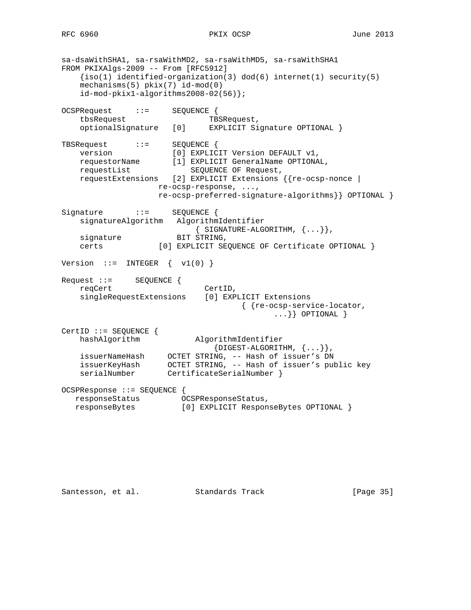sa-dsaWithSHA1, sa-rsaWithMD2, sa-rsaWithMD5, sa-rsaWithSHA1 FROM PKIXAlgs-2009 -- From [RFC5912]  $\{iso(1)$  identified-organization(3) dod(6) internet(1) security(5) mechanisms(5) pkix(7) id-mod(0) id-mod-pkix1-algorithms2008-02(56)}; OCSPRequest ::= SEQUENCE { tbsRequest TBSRequest, optionalSignature [0] EXPLICIT Signature OPTIONAL } TBSRequest ::= SEQUENCE {<br>version ::= SEQUENCE {<br>[0] EXPLICIT Version DEFAULT v1, version [0] EXPLICIT Version DEFAULT v1, requestorName [1] EXPLICIT GeneralName OPTIONAL, requestList SEQUENCE OF Request, requestExtensions [2] EXPLICIT Extensions {{re-ocsp-nonce | re-ocsp-response, ..., re-ocsp-preferred-signature-algorithms}} OPTIONAL } Signature ::= SEQUENCE { signatureAlgorithm AlgorithmIdentifier  $\{SIGNATURE-ALGORITHM, \{... \}\},$ signature BIT STRING, certs [0] EXPLICIT SEQUENCE OF Certificate OPTIONAL } Version  $::=$  INTEGER  $\{ v1(0) \}$ Request ::= SEQUENCE { reqCert CertID, singleRequestExtensions [0] EXPLICIT Extensions { {re-ocsp-service-locator, ...}} OPTIONAL } CertID ::= SEQUENCE { hashAlgorithm  $\texttt{AlgorithmIdentifier}$  (DIGEST-ALGORITHM,  $\{ \ldots \}$ ),  $\{\texttt{DIGEST-ALGORITHM},\enspace \{\dots\}\}$  , issuerNameHash OCTET STRING, -- Hash of issuer's DN issuerKeyHash OCTET STRING, -- Hash of issuer's public key serialNumber CertificateSerialNumber } OCSPResponse ::= SEQUENCE { responseStatus OCSPResponseStatus, responseBytes [0] EXPLICIT ResponseBytes OPTIONAL }

Santesson, et al. Standards Track [Page 35]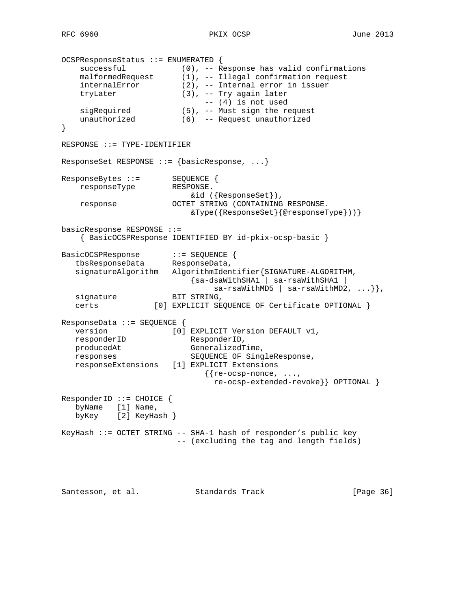```
OCSPResponseStatus ::= ENUMERATED {
 successful (0), -- Response has valid confirmations
 malformedRequest (1), -- Illegal confirmation request
 internalError (2), -- Internal error in issuer
    tryLater (3), -- Try again later
 -- (4) is not used
 sigRequired (5), -- Must sign the request
 unauthorized (6) -- Request unauthorized
}
RESPONSE ::= TYPE-IDENTIFIER
ResponseSet RESPONSE ::= {basicResponse, ...}
ResponseBytes ::= SEQUENCE {
    responseType RESPONSE.
                        &id ({ResponseSet}),
    response OCTET STRING (CONTAINING RESPONSE.
                         &Type({ResponseSet}{@responseType}))}
basicResponse RESPONSE ::=
    { BasicOCSPResponse IDENTIFIED BY id-pkix-ocsp-basic }
BasicOCSPResponse ::= SEQUENCE {
 tbsResponseData ResponseData,
  signatureAlgorithm AlgorithmIdentifier{SIGNATURE-ALGORITHM,
                         {sa-dsaWithSHA1 | sa-rsaWithSHA1 |
                             sa-rsawithMD5 | sa-rsawithMD2, ... \},signature BIT STRING,<br>certs [0] EXPLICIT SE
                [0] EXPLICIT SEQUENCE OF Certificate OPTIONAL }
ResponseData ::= SEQUENCE {
 version [0] EXPLICIT Version DEFAULT v1,
responderID ResponderID,
  producedAt GeneralizedTime,
   responses SEQUENCE OF SingleResponse,
   responseExtensions [1] EXPLICIT Extensions
                           {r \in -ocsp-nonce, ...,} re-ocsp-extended-revoke}} OPTIONAL }
ResponderID ::= CHOICE {
   byName [1] Name,
   byKey [2] KeyHash }
KeyHash ::= OCTET STRING -- SHA-1 hash of responder's public key
                       -- (excluding the tag and length fields)
```
Santesson, et al. Standards Track [Page 36]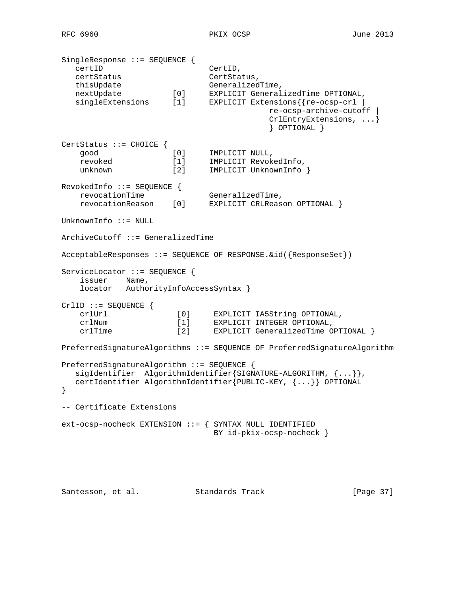```
SingleResponse ::= SEQUENCE {
   certID CertID,
   certStatus CertStatus,
thisUpdate GeneralizedTime,
 nextUpdate [0] EXPLICIT GeneralizedTime OPTIONAL,
 singleExtensions [1] EXPLICIT Extensions{{re-ocsp-crl |
                                       re-ocsp-archive-cutoff |
                                       CrlEntryExtensions, ...}
                                       } OPTIONAL }
CertStatus ::= CHOICE {
   good [0] IMPLICIT NULL,
 revoked [1] IMPLICIT RevokedInfo,
 unknown [2] IMPLICIT UnknownInfo }
RevokedInfo ::= SEQUENCE {
   revocationTime GeneralizedTime,
    revocationReason [0] EXPLICIT CRLReason OPTIONAL }
UnknownInfo ::= NULL
ArchiveCutoff ::= GeneralizedTime
AcceptableResponses ::= SEQUENCE OF RESPONSE.&id({ResponseSet})
ServiceLocator ::= SEQUENCE {
    issuer Name,
    locator AuthorityInfoAccessSyntax }
CrlID ::= SEQUENCE {
    crlUrl [0] EXPLICIT IA5String OPTIONAL,
    crlNum [1] EXPLICIT INTEGER OPTIONAL,
    crlTime [2] EXPLICIT GeneralizedTime OPTIONAL }
PreferredSignatureAlgorithms ::= SEQUENCE OF PreferredSignatureAlgorithm
PreferredSignatureAlgorithm ::= SEQUENCE {
  sigIdentifier AlgorithmIdentifier{SIGNATURE-ALGORITHM, {...}},
   certIdentifier AlgorithmIdentifier{PUBLIC-KEY, {...}} OPTIONAL
}
-- Certificate Extensions
ext-ocsp-nocheck EXTENSION ::= { SYNTAX NULL IDENTIFIED
                             BY id-pkix-ocsp-nocheck }
```
Santesson, et al. Standards Track [Page 37]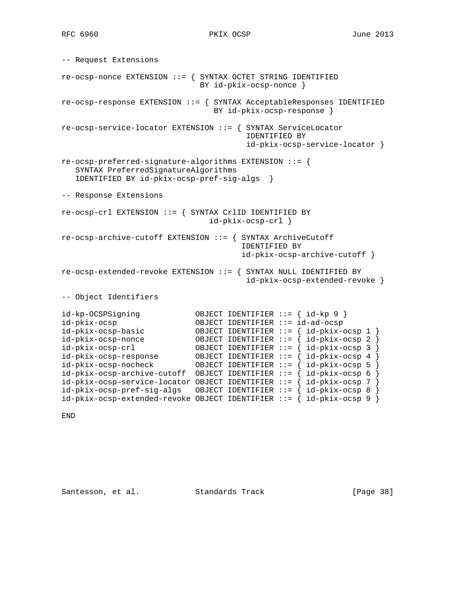-- Request Extensions re-ocsp-nonce EXTENSION ::= { SYNTAX OCTET STRING IDENTIFIED BY id-pkix-ocsp-nonce } re-ocsp-response EXTENSION ::= { SYNTAX AcceptableResponses IDENTIFIED BY id-pkix-ocsp-response } re-ocsp-service-locator EXTENSION ::= { SYNTAX ServiceLocator IDENTIFIED BY id-pkix-ocsp-service-locator } re-ocsp-preferred-signature-algorithms EXTENSION ::= { SYNTAX PreferredSignatureAlgorithms IDENTIFIED BY id-pkix-ocsp-pref-sig-algs } -- Response Extensions re-ocsp-crl EXTENSION ::= { SYNTAX CrlID IDENTIFIED BY id-pkix-ocsp-crl } re-ocsp-archive-cutoff EXTENSION ::= { SYNTAX ArchiveCutoff IDENTIFIED BY id-pkix-ocsp-archive-cutoff } re-ocsp-extended-revoke EXTENSION ::= { SYNTAX NULL IDENTIFIED BY id-pkix-ocsp-extended-revoke } -- Object Identifiers id-kp-OCSPSigning OBJECT IDENTIFIER ::= { id-kp 9 } id-pkix-ocsp OBJECT IDENTIFIER ::= id-ad-ocsp id-pkix-ocsp-basic OBJECT IDENTIFIER ::= { id-pkix-ocsp 1 } id-pkix-ocsp-nonce OBJECT IDENTIFIER ::= { id-pkix-ocsp 2 } id-pkix-ocsp-crl OBJECT IDENTIFIER ::= { id-pkix-ocsp 3 } id-pkix-ocsp-response OBJECT IDENTIFIER ::= { id-pkix-ocsp 4 } id-pkix-ocsp-nocheck OBJECT IDENTIFIER ::= { id-pkix-ocsp 5 } id-pkix-ocsp-archive-cutoff OBJECT IDENTIFIER ::= { id-pkix-ocsp 6 } id-pkix-ocsp-service-locator OBJECT IDENTIFIER ::= { id-pkix-ocsp 7 } id-pkix-ocsp-pref-sig-algs OBJECT IDENTIFIER ::= { id-pkix-ocsp 8 } id-pkix-ocsp-extended-revoke OBJECT IDENTIFIER ::= { id-pkix-ocsp 9 }

END

Santesson, et al. Standards Track [Page 38]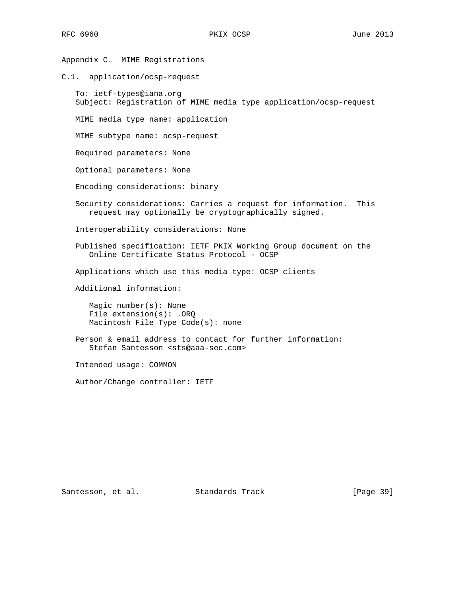# Appendix C. MIME Registrations

C.1. application/ocsp-request

 To: ietf-types@iana.org Subject: Registration of MIME media type application/ocsp-request

MIME media type name: application

MIME subtype name: ocsp-request

Required parameters: None

Optional parameters: None

Encoding considerations: binary

 Security considerations: Carries a request for information. This request may optionally be cryptographically signed.

Interoperability considerations: None

 Published specification: IETF PKIX Working Group document on the Online Certificate Status Protocol - OCSP

Applications which use this media type: OCSP clients

Additional information:

 Magic number(s): None File extension(s): .ORQ Macintosh File Type Code(s): none

 Person & email address to contact for further information: Stefan Santesson <sts@aaa-sec.com>

Intended usage: COMMON

Author/Change controller: IETF

Santesson, et al. Standards Track [Page 39]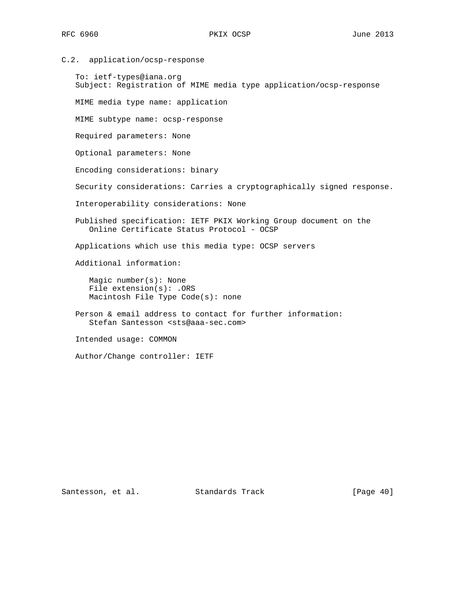C.2. application/ocsp-response

 To: ietf-types@iana.org Subject: Registration of MIME media type application/ocsp-response MIME media type name: application MIME subtype name: ocsp-response Required parameters: None Optional parameters: None Encoding considerations: binary Security considerations: Carries a cryptographically signed response. Interoperability considerations: None Published specification: IETF PKIX Working Group document on the Online Certificate Status Protocol - OCSP Applications which use this media type: OCSP servers Additional information: Magic number(s): None File extension(s): .ORS Macintosh File Type Code(s): none Person & email address to contact for further information: Stefan Santesson <sts@aaa-sec.com> Intended usage: COMMON Author/Change controller: IETF

Santesson, et al. Standards Track [Page 40]